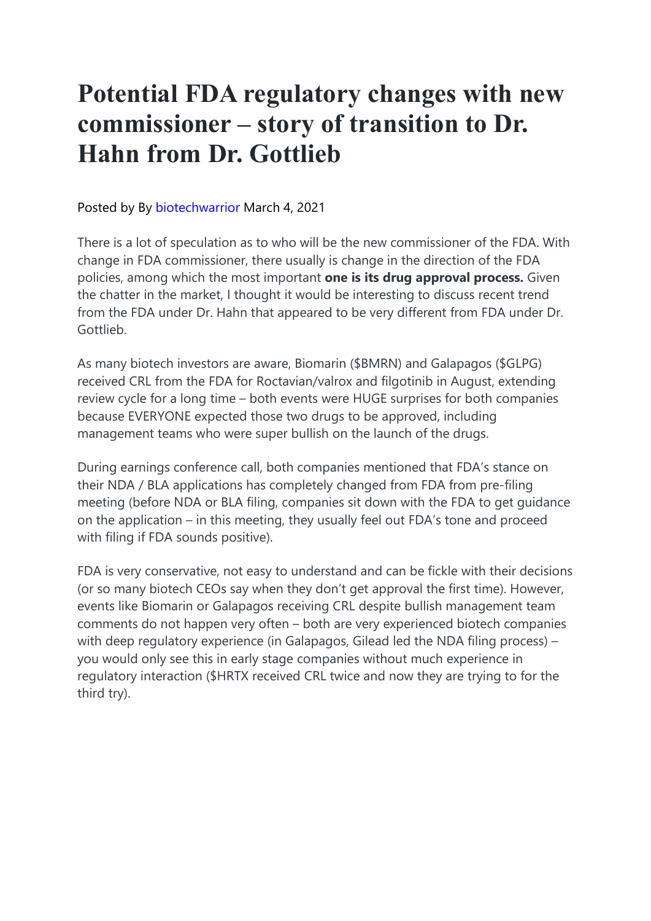## **Potential FDA regulatory changes with new commissioner – story of transition to Dr. Hahn from Dr. Gottlieb**

Posted by By biotechwarrior March 4, 2021

There is a lot of speculation as to who will be the new commissioner of the FDA. With change in FDA commissioner, there usually is change in the direction of the FDA policies, among which the most important **one is its drug approval process.** Given the chatter in the market, I thought it would be interesting to discuss recent trend from the FDA under Dr. Hahn that appeared to be very different from FDA under Dr. Gottlieb.

As many biotech investors are aware, Biomarin (\$BMRN) and Galapagos (\$GLPG) received CRL from the FDA for Roctavian/valrox and filgotinib in August, extending review cycle for a long time – both events were HUGE surprises for both companies because EVERYONE expected those two drugs to be approved, including management teams who were super bullish on the launch of the drugs.

During earnings conference call, both companies mentioned that FDA's stance on their NDA / BLA applications has completely changed from FDA from pre-filing meeting (before NDA or BLA filing, companies sit down with the FDA to get guidance on the application – in this meeting, they usually feel out FDA's tone and proceed with filing if FDA sounds positive).

FDA is very conservative, not easy to understand and can be fickle with their decisions (or so many biotech CEOs say when they don't get approval the first time). However, events like Biomarin or Galapagos receiving CRL despite bullish management team comments do not happen very often – both are very experienced biotech companies with deep regulatory experience (in Galapagos, Gilead led the NDA filing process) – you would only see this in early stage companies without much experience in regulatory interaction (\$HRTX received CRL twice and now they are trying to for the third try).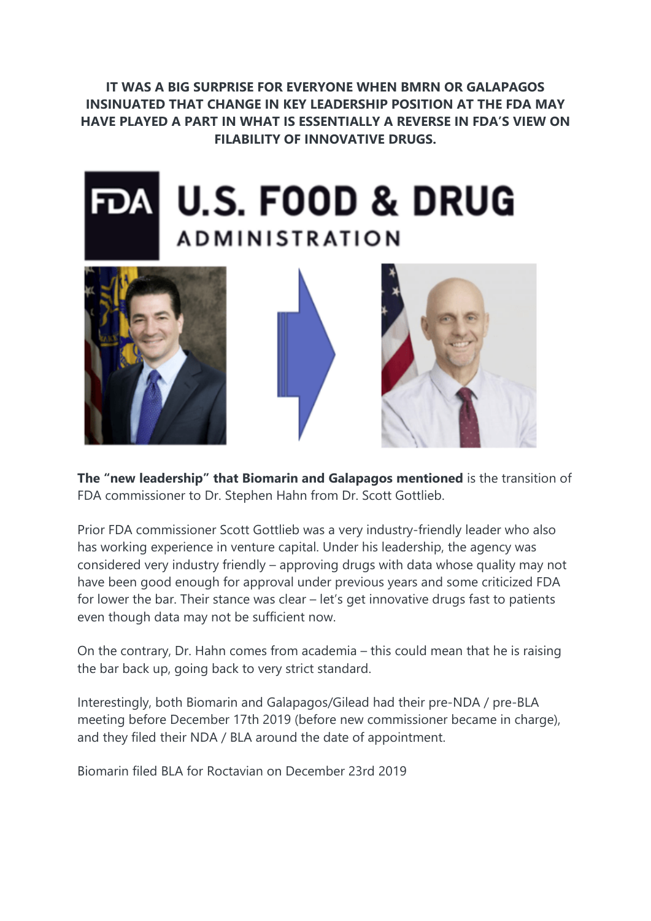**IT WAS A BIG SURPRISE FOR EVERYONE WHEN BMRN OR GALAPAGOS INSINUATED THAT CHANGE IN KEY LEADERSHIP POSITION AT THE FDA MAY HAVE PLAYED A PART IN WHAT IS ESSENTIALLY A REVERSE IN FDA'S VIEW ON FILABILITY OF INNOVATIVE DRUGS.**









**The "new leadership" that Biomarin and Galapagos mentioned** is the transition of FDA commissioner to Dr. Stephen Hahn from Dr. Scott Gottlieb.

Prior FDA commissioner Scott Gottlieb was a very industry-friendly leader who also has working experience in venture capital. Under his leadership, the agency was considered very industry friendly – approving drugs with data whose quality may not have been good enough for approval under previous years and some criticized FDA for lower the bar. Their stance was clear – let's get innovative drugs fast to patients even though data may not be sufficient now.

On the contrary, Dr. Hahn comes from academia – this could mean that he is raising the bar back up, going back to very strict standard.

Interestingly, both Biomarin and Galapagos/Gilead had their pre-NDA / pre-BLA meeting before December 17th 2019 (before new commissioner became in charge), and they filed their NDA / BLA around the date of appointment.

Biomarin filed BLA for Roctavian on December 23rd 2019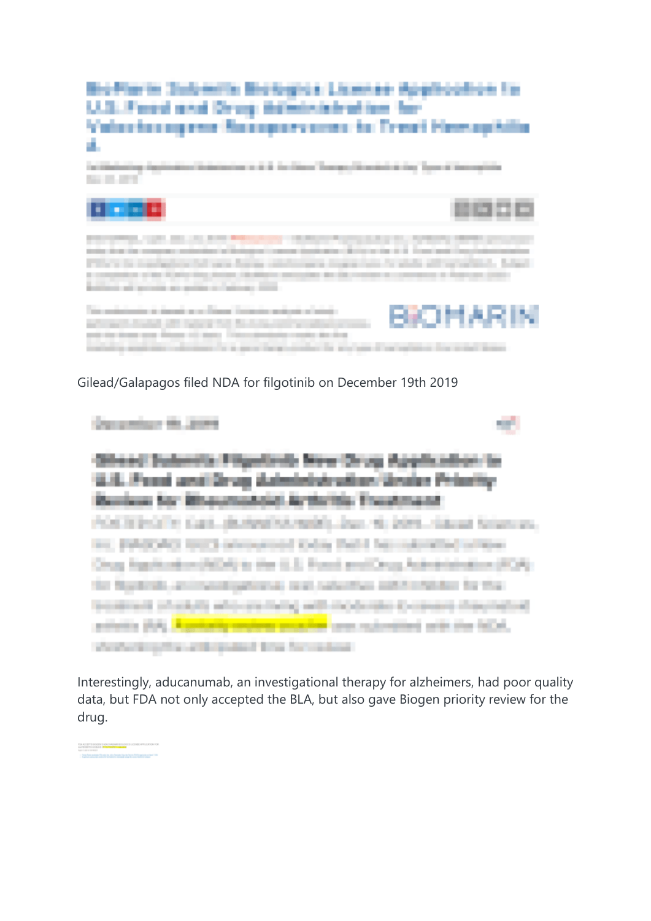

Gilead/Galapagos filed NDA for filgotinib on December 19th 2019

| Dangerham the Anne                                                                                                                                             |  |
|----------------------------------------------------------------------------------------------------------------------------------------------------------------|--|
| Others' Submits Filippinds New Orug Application to                                                                                                             |  |
| 12.12. Front and Drug Administration Grader Princing                                                                                                           |  |
| POSTEROITE CALL (BUSINESS/NOR), Day, NJ 2015. Claud Sciences,<br>inc. \$95,0000 first advanced tiday field her culturally or the                               |  |
| Crops, Franchise And All All as the U.S. Franch and Crops, Astronomium (FCA)<br>the Nigotickh, and navaligations is seek, salarythes initial entables for that |  |
| treatment pluggits who ancient will incidently Company disputation.<br>printing that I contactly resolved produced and contact that the follow-                |  |
| shortering the articipated fire for colour                                                                                                                     |  |

Interestingly, aducanumab, an investigational therapy for alzheimers, had poor quality data, but FDA not only accepted the BLA, but also gave Biogen priority review for the drug.